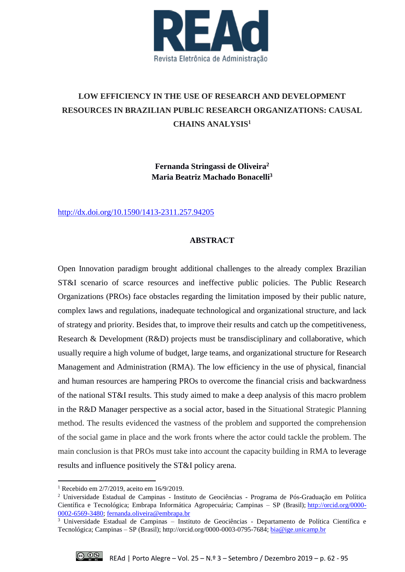

# **LOW EFFICIENCY IN THE USE OF RESEARCH AND DEVELOPMENT RESOURCES IN BRAZILIAN PUBLIC RESEARCH ORGANIZATIONS: CAUSAL CHAINS ANALYSIS<sup>1</sup>**

**Fernanda Stringassi de Oliveira<sup>2</sup> Maria Beatriz Machado Bonacelli<sup>3</sup>**

<http://dx.doi.org/10.1590/1413-2311.257.94205>

# **ABSTRACT**

Open Innovation paradigm brought additional challenges to the already complex Brazilian ST&I scenario of scarce resources and ineffective public policies. The Public Research Organizations (PROs) face obstacles regarding the limitation imposed by their public nature, complex laws and regulations, inadequate technological and organizational structure, and lack of strategy and priority. Besides that, to improve their results and catch up the competitiveness, Research & Development (R&D) projects must be transdisciplinary and collaborative, which usually require a high volume of budget, large teams, and organizational structure for Research Management and Administration (RMA). The low efficiency in the use of physical, financial and human resources are hampering PROs to overcome the financial crisis and backwardness of the national ST&I results. This study aimed to make a deep analysis of this macro problem in the R&D Manager perspective as a social actor, based in the Situational Strategic Planning method. The results evidenced the vastness of the problem and supported the comprehension of the social game in place and the work fronts where the actor could tackle the problem. The main conclusion is that PROs must take into account the capacity building in RMA to leverage results and influence positively the ST&I policy arena.

<sup>3</sup> Universidade Estadual de Campinas – Instituto de Geociências - Departamento de Política Científica e Tecnológica; Campinas – SP (Brasil); [http://orcid.org/0000-0003-0795-7684;](http://orcid.org/0000-0003-0795-7684) [bia@ige.unicamp.br](mailto:bia@ige.unicamp.br)



**.** 

<sup>1</sup> Recebido em 2/7/2019, aceito em 16/9/2019.

<sup>2</sup> Universidade Estadual de Campinas - Instituto de Geociências - Programa de Pós-Graduação em Política Científica e Tecnológica; Embrapa Informática Agropecuária; Campinas – SP (Brasil); [http://orcid.org/0000-](http://orcid.org/0000-0002-6569-3480) [0002-6569-3480;](http://orcid.org/0000-0002-6569-3480) [fernanda.oliveira@embrapa.br](mailto:fernanda.oliveira@embrapa.br)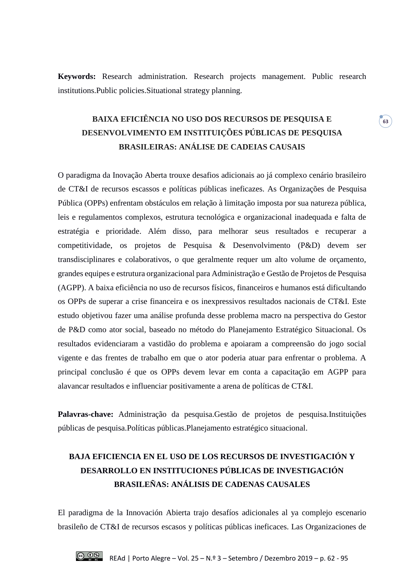**Keywords:** Research administration. Research projects management. Public research institutions.Public policies.Situational strategy planning.

# **BAIXA EFICIÊNCIA NO USO DOS RECURSOS DE PESQUISA E DESENVOLVIMENTO EM INSTITUIÇÕES PÚBLICAS DE PESQUISA BRASILEIRAS: ANÁLISE DE CADEIAS CAUSAIS**

**63**

O paradigma da Inovação Aberta trouxe desafios adicionais ao já complexo cenário brasileiro de CT&I de recursos escassos e políticas públicas ineficazes. As Organizações de Pesquisa Pública (OPPs) enfrentam obstáculos em relação à limitação imposta por sua natureza pública, leis e regulamentos complexos, estrutura tecnológica e organizacional inadequada e falta de estratégia e prioridade. Além disso, para melhorar seus resultados e recuperar a competitividade, os projetos de Pesquisa & Desenvolvimento (P&D) devem ser transdisciplinares e colaborativos, o que geralmente requer um alto volume de orçamento, grandes equipes e estrutura organizacional para Administração e Gestão de Projetos de Pesquisa (AGPP). A baixa eficiência no uso de recursos físicos, financeiros e humanos está dificultando os OPPs de superar a crise financeira e os inexpressivos resultados nacionais de CT&I. Este estudo objetivou fazer uma análise profunda desse problema macro na perspectiva do Gestor de P&D como ator social, baseado no método do Planejamento Estratégico Situacional. Os resultados evidenciaram a vastidão do problema e apoiaram a compreensão do jogo social vigente e das frentes de trabalho em que o ator poderia atuar para enfrentar o problema. A principal conclusão é que os OPPs devem levar em conta a capacitação em AGPP para alavancar resultados e influenciar positivamente a arena de políticas de CT&I.

**Palavras-chave:** Administração da pesquisa.Gestão de projetos de pesquisa.Instituições públicas de pesquisa.Políticas públicas.Planejamento estratégico situacional.

# **BAJA EFICIENCIA EN EL USO DE LOS RECURSOS DE INVESTIGACIÓN Y DESARROLLO EN INSTITUCIONES PÚBLICAS DE INVESTIGACIÓN BRASILEÑAS: ANÁLISIS DE CADENAS CAUSALES**

El paradigma de la Innovación Abierta trajo desafíos adicionales al ya complejo escenario brasileño de CT&I de recursos escasos y políticas públicas ineficaces. Las Organizaciones de

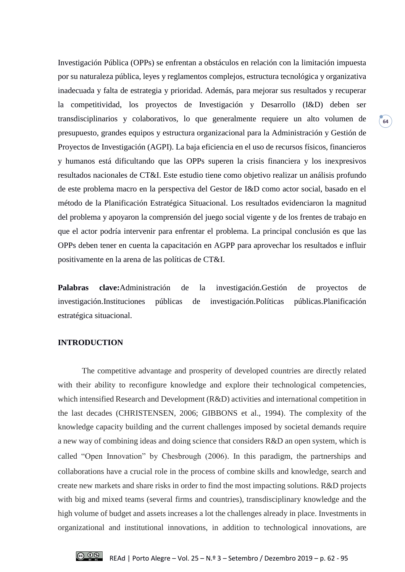Investigación Pública (OPPs) se enfrentan a obstáculos en relación con la limitación impuesta por su naturaleza pública, leyes y reglamentos complejos, estructura tecnológica y organizativa inadecuada y falta de estrategia y prioridad. Además, para mejorar sus resultados y recuperar la competitividad, los proyectos de Investigación y Desarrollo (I&D) deben ser transdisciplinarios y colaborativos, lo que generalmente requiere un alto volumen de presupuesto, grandes equipos y estructura organizacional para la Administración y Gestión de Proyectos de Investigación (AGPI). La baja eficiencia en el uso de recursos físicos, financieros y humanos está dificultando que las OPPs superen la crisis financiera y los inexpresivos resultados nacionales de CT&I. Este estudio tiene como objetivo realizar un análisis profundo de este problema macro en la perspectiva del Gestor de I&D como actor social, basado en el método de la Planificación Estratégica Situacional. Los resultados evidenciaron la magnitud del problema y apoyaron la comprensión del juego social vigente y de los frentes de trabajo en que el actor podría intervenir para enfrentar el problema. La principal conclusión es que las OPPs deben tener en cuenta la capacitación en AGPP para aprovechar los resultados e influir positivamente en la arena de las políticas de CT&I.

**64**

**Palabras clave:**Administración de la investigación.Gestión de proyectos de investigación.Instituciones públicas de investigación.Políticas públicas.Planificación estratégica situacional.

#### **INTRODUCTION**

The competitive advantage and prosperity of developed countries are directly related with their ability to reconfigure knowledge and explore their technological competencies, which intensified Research and Development (R&D) activities and international competition in the last decades (CHRISTENSEN, 2006; GIBBONS et al., 1994). The complexity of the knowledge capacity building and the current challenges imposed by societal demands require a new way of combining ideas and doing science that considers R&D an open system, which is called "Open Innovation" by Chesbrough (2006). In this paradigm, the partnerships and collaborations have a crucial role in the process of combine skills and knowledge, search and create new markets and share risks in order to find the most impacting solutions. R&D projects with big and mixed teams (several firms and countries), transdisciplinary knowledge and the high volume of budget and assets increases a lot the challenges already in place. Investments in organizational and institutional innovations, in addition to technological innovations, are

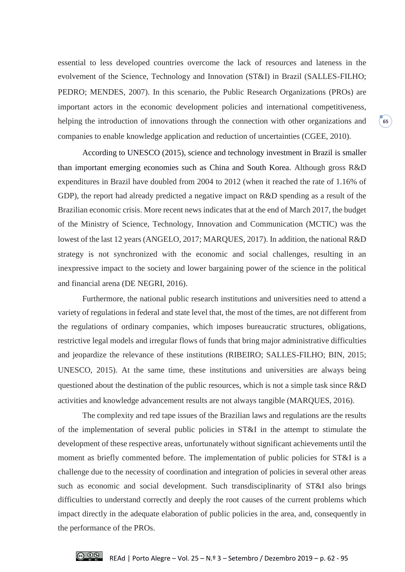essential to less developed countries overcome the lack of resources and lateness in the evolvement of the Science, Technology and Innovation (ST&I) in Brazil (SALLES-FILHO; PEDRO; MENDES, 2007). In this scenario, the Public Research Organizations (PROs) are important actors in the economic development policies and international competitiveness, helping the introduction of innovations through the connection with other organizations and companies to enable knowledge application and reduction of uncertainties (CGEE, 2010).

According to UNESCO (2015), science and technology investment in Brazil is smaller than important emerging economies such as China and South Korea. Although gross R&D expenditures in Brazil have doubled from 2004 to 2012 (when it reached the rate of 1.16% of GDP), the report had already predicted a negative impact on R&D spending as a result of the Brazilian economic crisis. More recent news indicates that at the end of March 2017, the budget of the Ministry of Science, Technology, Innovation and Communication (MCTIC) was the lowest of the last 12 years (ANGELO, 2017; MARQUES, 2017). In addition, the national R&D strategy is not synchronized with the economic and social challenges, resulting in an inexpressive impact to the society and lower bargaining power of the science in the political and financial arena (DE NEGRI, 2016).

Furthermore, the national public research institutions and universities need to attend a variety of regulations in federal and state level that, the most of the times, are not different from the regulations of ordinary companies, which imposes bureaucratic structures, obligations, restrictive legal models and irregular flows of funds that bring major administrative difficulties and jeopardize the relevance of these institutions (RIBEIRO; SALLES-FILHO; BIN, 2015; UNESCO, 2015). At the same time, these institutions and universities are always being questioned about the destination of the public resources, which is not a simple task since R&D activities and knowledge advancement results are not always tangible (MARQUES, 2016).

The complexity and red tape issues of the Brazilian laws and regulations are the results of the implementation of several public policies in ST&I in the attempt to stimulate the development of these respective areas, unfortunately without significant achievements until the moment as briefly commented before. The implementation of public policies for ST&I is a challenge due to the necessity of coordination and integration of policies in several other areas such as economic and social development. Such transdisciplinarity of ST&I also brings difficulties to understand correctly and deeply the root causes of the current problems which impact directly in the adequate elaboration of public policies in the area, and, consequently in the performance of the PROs.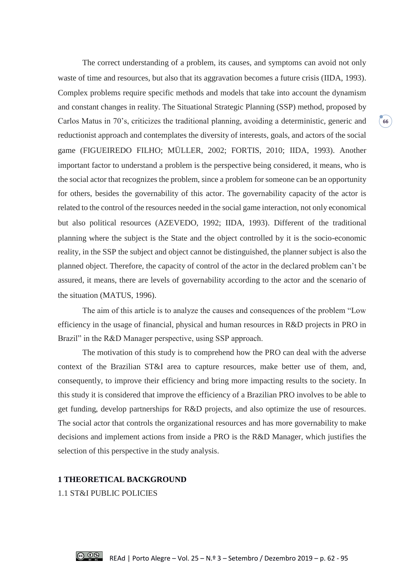The correct understanding of a problem, its causes, and symptoms can avoid not only waste of time and resources, but also that its aggravation becomes a future crisis (IIDA, 1993). Complex problems require specific methods and models that take into account the dynamism and constant changes in reality. The Situational Strategic Planning (SSP) method, proposed by Carlos Matus in 70's, criticizes the traditional planning, avoiding a deterministic, generic and reductionist approach and contemplates the diversity of interests, goals, and actors of the social game (FIGUEIREDO FILHO; MÜLLER, 2002; FORTIS, 2010; IIDA, 1993). Another important factor to understand a problem is the perspective being considered, it means, who is the social actor that recognizes the problem, since a problem for someone can be an opportunity for others, besides the governability of this actor. The governability capacity of the actor is related to the control of the resources needed in the social game interaction, not only economical but also political resources (AZEVEDO, 1992; IIDA, 1993). Different of the traditional planning where the subject is the State and the object controlled by it is the socio-economic reality, in the SSP the subject and object cannot be distinguished, the planner subject is also the planned object. Therefore, the capacity of control of the actor in the declared problem can't be assured, it means, there are levels of governability according to the actor and the scenario of the situation (MATUS, 1996).

The aim of this article is to analyze the causes and consequences of the problem "Low efficiency in the usage of financial, physical and human resources in R&D projects in PRO in Brazil" in the R&D Manager perspective, using SSP approach.

The motivation of this study is to comprehend how the PRO can deal with the adverse context of the Brazilian ST&I area to capture resources, make better use of them, and, consequently, to improve their efficiency and bring more impacting results to the society. In this study it is considered that improve the efficiency of a Brazilian PRO involves to be able to get funding, develop partnerships for R&D projects, and also optimize the use of resources. The social actor that controls the organizational resources and has more governability to make decisions and implement actions from inside a PRO is the R&D Manager, which justifies the selection of this perspective in the study analysis.

### **1 THEORETICAL BACKGROUND**

1.1 ST&I PUBLIC POLICIES

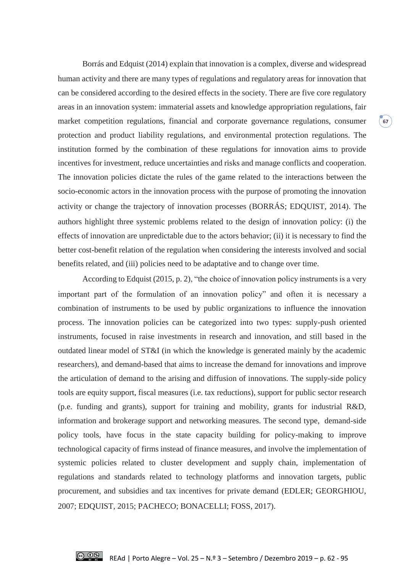Borrás and Edquist (2014) explain that innovation is a complex, diverse and widespread human activity and there are many types of regulations and regulatory areas for innovation that can be considered according to the desired effects in the society. There are five core regulatory areas in an innovation system: immaterial assets and knowledge appropriation regulations, fair market competition regulations, financial and corporate governance regulations, consumer protection and product liability regulations, and environmental protection regulations. The institution formed by the combination of these regulations for innovation aims to provide incentives for investment, reduce uncertainties and risks and manage conflicts and cooperation. The innovation policies dictate the rules of the game related to the interactions between the socio-economic actors in the innovation process with the purpose of promoting the innovation activity or change the trajectory of innovation processes (BORRÁS; EDQUIST, 2014). The authors highlight three systemic problems related to the design of innovation policy: (i) the effects of innovation are unpredictable due to the actors behavior; (ii) it is necessary to find the better cost-benefit relation of the regulation when considering the interests involved and social benefits related, and (iii) policies need to be adaptative and to change over time.

**67**

According to Edquist (2015, p. 2), "the choice of innovation policy instruments is a very important part of the formulation of an innovation policy" and often it is necessary a combination of instruments to be used by public organizations to influence the innovation process. The innovation policies can be categorized into two types: supply-push oriented instruments, focused in raise investments in research and innovation, and still based in the outdated linear model of ST&I (in which the knowledge is generated mainly by the academic researchers), and demand-based that aims to increase the demand for innovations and improve the articulation of demand to the arising and diffusion of innovations. The supply-side policy tools are equity support, fiscal measures (i.e. tax reductions), support for public sector research (p.e. funding and grants), support for training and mobility, grants for industrial R&D, information and brokerage support and networking measures. The second type, demand-side policy tools, have focus in the state capacity building for policy-making to improve technological capacity of firms instead of finance measures, and involve the implementation of systemic policies related to cluster development and supply chain, implementation of regulations and standards related to technology platforms and innovation targets, public procurement, and subsidies and tax incentives for private demand (EDLER; GEORGHIOU, 2007; EDQUIST, 2015; PACHECO; BONACELLI; FOSS, 2017).

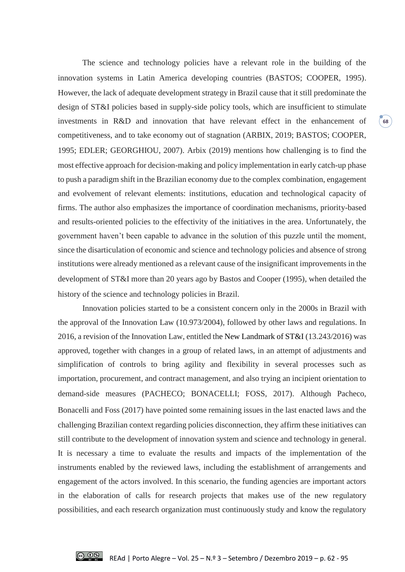The science and technology policies have a relevant role in the building of the innovation systems in Latin America developing countries (BASTOS; COOPER, 1995). However, the lack of adequate development strategy in Brazil cause that it still predominate the design of ST&I policies based in supply-side policy tools, which are insufficient to stimulate investments in R&D and innovation that have relevant effect in the enhancement of competitiveness, and to take economy out of stagnation (ARBIX, 2019; BASTOS; COOPER, 1995; EDLER; GEORGHIOU, 2007). Arbix (2019) mentions how challenging is to find the most effective approach for decision-making and policy implementation in early catch-up phase to push a paradigm shift in the Brazilian economy due to the complex combination, engagement and evolvement of relevant elements: institutions, education and technological capacity of firms. The author also emphasizes the importance of coordination mechanisms, priority-based and results-oriented policies to the effectivity of the initiatives in the area. Unfortunately, the government haven't been capable to advance in the solution of this puzzle until the moment, since the disarticulation of economic and science and technology policies and absence of strong institutions were already mentioned as a relevant cause of the insignificant improvements in the development of ST&I more than 20 years ago by Bastos and Cooper (1995), when detailed the history of the science and technology policies in Brazil.

**68**

Innovation policies started to be a consistent concern only in the 2000s in Brazil with the approval of the Innovation Law (10.973/2004), followed by other laws and regulations. In 2016, a revision of the Innovation Law, entitled the New Landmark of ST&I (13.243/2016) was approved, together with changes in a group of related laws, in an attempt of adjustments and simplification of controls to bring agility and flexibility in several processes such as importation, procurement, and contract management, and also trying an incipient orientation to demand-side measures (PACHECO; BONACELLI; FOSS, 2017). Although Pacheco, Bonacelli and Foss (2017) have pointed some remaining issues in the last enacted laws and the challenging Brazilian context regarding policies disconnection, they affirm these initiatives can still contribute to the development of innovation system and science and technology in general. It is necessary a time to evaluate the results and impacts of the implementation of the instruments enabled by the reviewed laws, including the establishment of arrangements and engagement of the actors involved. In this scenario, the funding agencies are important actors in the elaboration of calls for research projects that makes use of the new regulatory possibilities, and each research organization must continuously study and know the regulatory

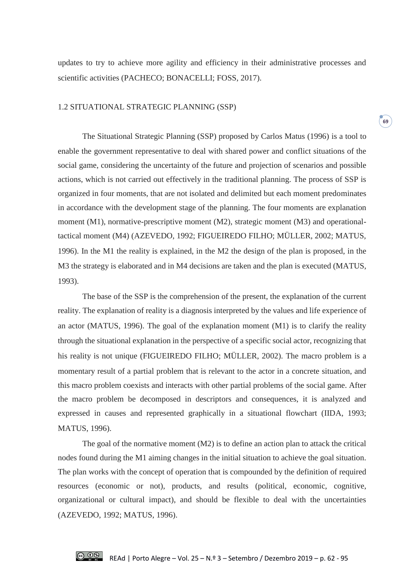updates to try to achieve more agility and efficiency in their administrative processes and scientific activities (PACHECO; BONACELLI; FOSS, 2017).

**69**

# 1.2 SITUATIONAL STRATEGIC PLANNING (SSP)

The Situational Strategic Planning (SSP) proposed by Carlos Matus (1996) is a tool to enable the government representative to deal with shared power and conflict situations of the social game, considering the uncertainty of the future and projection of scenarios and possible actions, which is not carried out effectively in the traditional planning. The process of SSP is organized in four moments, that are not isolated and delimited but each moment predominates in accordance with the development stage of the planning. The four moments are explanation moment (M1), normative-prescriptive moment (M2), strategic moment (M3) and operationaltactical moment (M4) (AZEVEDO, 1992; FIGUEIREDO FILHO; MÜLLER, 2002; MATUS, 1996). In the M1 the reality is explained, in the M2 the design of the plan is proposed, in the M3 the strategy is elaborated and in M4 decisions are taken and the plan is executed (MATUS, 1993).

The base of the SSP is the comprehension of the present, the explanation of the current reality. The explanation of reality is a diagnosis interpreted by the values and life experience of an actor (MATUS, 1996). The goal of the explanation moment (M1) is to clarify the reality through the situational explanation in the perspective of a specific social actor, recognizing that his reality is not unique (FIGUEIREDO FILHO; MÜLLER, 2002). The macro problem is a momentary result of a partial problem that is relevant to the actor in a concrete situation, and this macro problem coexists and interacts with other partial problems of the social game. After the macro problem be decomposed in descriptors and consequences, it is analyzed and expressed in causes and represented graphically in a situational flowchart (IIDA, 1993; MATUS, 1996).

The goal of the normative moment (M2) is to define an action plan to attack the critical nodes found during the M1 aiming changes in the initial situation to achieve the goal situation. The plan works with the concept of operation that is compounded by the definition of required resources (economic or not), products, and results (political, economic, cognitive, organizational or cultural impact), and should be flexible to deal with the uncertainties (AZEVEDO, 1992; MATUS, 1996).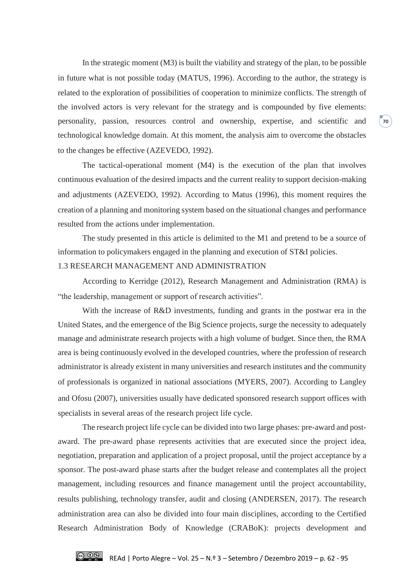In the strategic moment (M3) is built the viability and strategy of the plan, to be possible in future what is not possible today (MATUS, 1996). According to the author, the strategy is related to the exploration of possibilities of cooperation to minimize conflicts. The strength of the involved actors is very relevant for the strategy and is compounded by five elements: personality, passion, resources control and ownership, expertise, and scientific and technological knowledge domain. At this moment, the analysis aim to overcome the obstacles to the changes be effective (AZEVEDO, 1992).

**70**

The tactical-operational moment (M4) is the execution of the plan that involves continuous evaluation of the desired impacts and the current reality to support decision-making and adjustments (AZEVEDO, 1992). According to Matus (1996), this moment requires the creation of a planning and monitoring system based on the situational changes and performance resulted from the actions under implementation.

The study presented in this article is delimited to the M1 and pretend to be a source of information to policymakers engaged in the planning and execution of ST&I policies.

### 1.3 RESEARCH MANAGEMENT AND ADMINISTRATION

According to Kerridge (2012), Research Management and Administration (RMA) is "the leadership, management or support of research activities".

With the increase of R&D investments, funding and grants in the postwar era in the United States, and the emergence of the Big Science projects, surge the necessity to adequately manage and administrate research projects with a high volume of budget. Since then, the RMA area is being continuously evolved in the developed countries, where the profession of research administrator is already existent in many universities and research institutes and the community of professionals is organized in national associations (MYERS, 2007). According to Langley and Ofosu (2007), universities usually have dedicated sponsored research support offices with specialists in several areas of the research project life cycle.

The research project life cycle can be divided into two large phases: pre-award and postaward. The pre-award phase represents activities that are executed since the project idea, negotiation, preparation and application of a project proposal, until the project acceptance by a sponsor. The post-award phase starts after the budget release and contemplates all the project management, including resources and finance management until the project accountability, results publishing, technology transfer, audit and closing (ANDERSEN, 2017). The research administration area can also be divided into four main disciplines, according to the Certified Research Administration Body of Knowledge (CRABoK): projects development and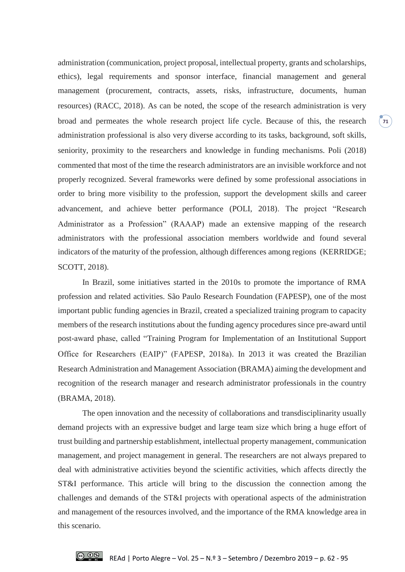administration (communication, project proposal, intellectual property, grants and scholarships, ethics), legal requirements and sponsor interface, financial management and general management (procurement, contracts, assets, risks, infrastructure, documents, human resources) (RACC, 2018). As can be noted, the scope of the research administration is very broad and permeates the whole research project life cycle. Because of this, the research administration professional is also very diverse according to its tasks, background, soft skills, seniority, proximity to the researchers and knowledge in funding mechanisms. Poli (2018) commented that most of the time the research administrators are an invisible workforce and not properly recognized. Several frameworks were defined by some professional associations in order to bring more visibility to the profession, support the development skills and career advancement, and achieve better performance (POLI, 2018). The project "Research Administrator as a Profession" (RAAAP) made an extensive mapping of the research administrators with the professional association members worldwide and found several indicators of the maturity of the profession, although differences among regions (KERRIDGE; SCOTT, 2018).

In Brazil, some initiatives started in the 2010s to promote the importance of RMA profession and related activities. São Paulo Research Foundation (FAPESP), one of the most important public funding agencies in Brazil, created a specialized training program to capacity members of the research institutions about the funding agency procedures since pre-award until post-award phase, called "Training Program for Implementation of an Institutional Support Office for Researchers (EAIP)" (FAPESP, 2018a). In 2013 it was created the Brazilian Research Administration and Management Association (BRAMA) aiming the development and recognition of the research manager and research administrator professionals in the country (BRAMA, 2018).

The open innovation and the necessity of collaborations and transdisciplinarity usually demand projects with an expressive budget and large team size which bring a huge effort of trust building and partnership establishment, intellectual property management, communication management, and project management in general. The researchers are not always prepared to deal with administrative activities beyond the scientific activities, which affects directly the ST&I performance. This article will bring to the discussion the connection among the challenges and demands of the ST&I projects with operational aspects of the administration and management of the resources involved, and the importance of the RMA knowledge area in this scenario.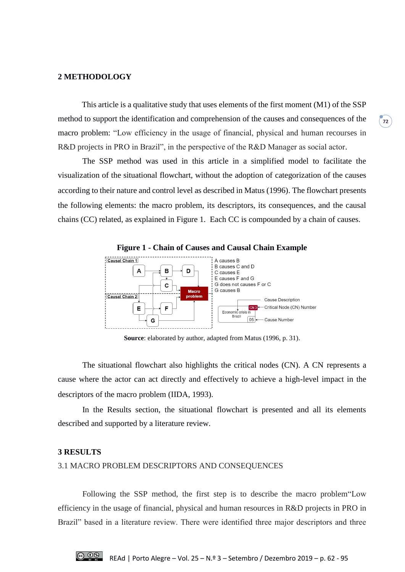#### **2 METHODOLOGY**

This article is a qualitative study that uses elements of the first moment (M1) of the SSP method to support the identification and comprehension of the causes and consequences of the macro problem: "Low efficiency in the usage of financial, physical and human recourses in R&D projects in PRO in Brazil", in the perspective of the R&D Manager as social actor.

**72**

The SSP method was used in this article in a simplified model to facilitate the visualization of the situational flowchart, without the adoption of categorization of the causes according to their nature and control level as described in Matus (1996). The flowchart presents the following elements: the macro problem, its descriptors, its consequences, and the causal chains (CC) related, as explained in Figure 1. Each CC is compounded by a chain of causes.



**Source**: elaborated by author, adapted from Matus (1996, p. 31).

The situational flowchart also highlights the critical nodes (CN). A CN represents a cause where the actor can act directly and effectively to achieve a high-level impact in the descriptors of the macro problem (IIDA, 1993).

In the Results section, the situational flowchart is presented and all its elements described and supported by a literature review.

#### **3 RESULTS**

#### 3.1 MACRO PROBLEM DESCRIPTORS AND CONSEQUENCES

Following the SSP method, the first step is to describe the macro problem"Low efficiency in the usage of financial, physical and human resources in R&D projects in PRO in Brazil" based in a literature review. There were identified three major descriptors and three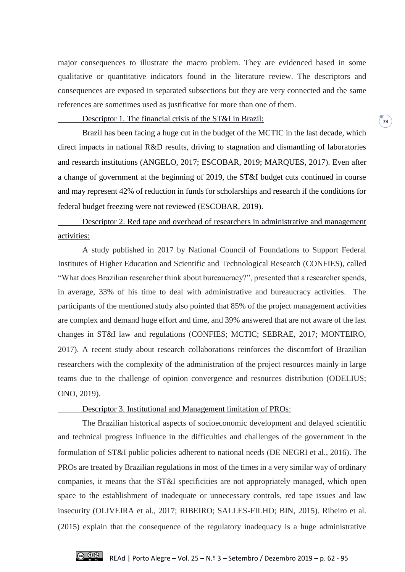major consequences to illustrate the macro problem. They are evidenced based in some qualitative or quantitative indicators found in the literature review. The descriptors and consequences are exposed in separated subsections but they are very connected and the same references are sometimes used as justificative for more than one of them.

#### Descriptor 1. The financial crisis of the ST&I in Brazil:

Brazil has been facing a huge cut in the budget of the MCTIC in the last decade, which direct impacts in national R&D results, driving to stagnation and dismantling of laboratories and research institutions (ANGELO, 2017; ESCOBAR, 2019; MARQUES, 2017). Even after a change of government at the beginning of 2019, the ST&I budget cuts continued in course and may represent 42% of reduction in funds for scholarships and research if the conditions for federal budget freezing were not reviewed (ESCOBAR, 2019).

Descriptor 2. Red tape and overhead of researchers in administrative and management activities:

A study published in 2017 by National Council of Foundations to Support Federal Institutes of Higher Education and Scientific and Technological Research (CONFIES), called "What does Brazilian researcher think about bureaucracy?", presented that a researcher spends, in average, 33% of his time to deal with administrative and bureaucracy activities. The participants of the mentioned study also pointed that 85% of the project management activities are complex and demand huge effort and time, and 39% answered that are not aware of the last changes in ST&I law and regulations (CONFIES; MCTIC; SEBRAE, 2017; MONTEIRO, 2017). A recent study about research collaborations reinforces the discomfort of Brazilian researchers with the complexity of the administration of the project resources mainly in large teams due to the challenge of opinion convergence and resources distribution (ODELIUS; ONO, 2019).

#### Descriptor 3. Institutional and Management limitation of PROs:

The Brazilian historical aspects of socioeconomic development and delayed scientific and technical progress influence in the difficulties and challenges of the government in the formulation of ST&I public policies adherent to national needs (DE NEGRI et al., 2016). The PROs are treated by Brazilian regulations in most of the times in a very similar way of ordinary companies, it means that the ST&I specificities are not appropriately managed, which open space to the establishment of inadequate or unnecessary controls, red tape issues and law insecurity (OLIVEIRA et al., 2017; RIBEIRO; SALLES-FILHO; BIN, 2015). Ribeiro et al. (2015) explain that the consequence of the regulatory inadequacy is a huge administrative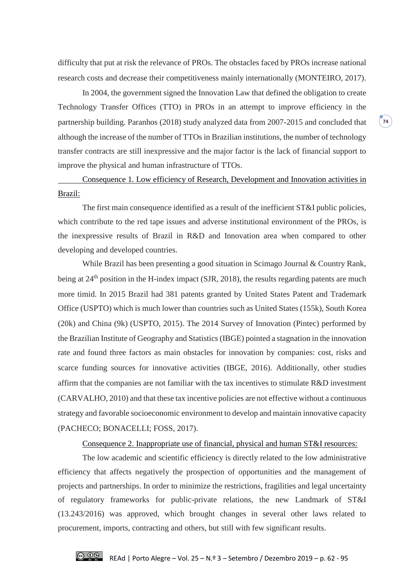difficulty that put at risk the relevance of PROs. The obstacles faced by PROs increase national research costs and decrease their competitiveness mainly internationally (MONTEIRO, 2017).

In 2004, the government signed the Innovation Law that defined the obligation to create Technology Transfer Offices (TTO) in PROs in an attempt to improve efficiency in the partnership building. Paranhos (2018) study analyzed data from 2007-2015 and concluded that although the increase of the number of TTOs in Brazilian institutions, the number of technology transfer contracts are still inexpressive and the major factor is the lack of financial support to improve the physical and human infrastructure of TTOs.

**74**

Consequence 1. Low efficiency of Research, Development and Innovation activities in Brazil:

The first main consequence identified as a result of the inefficient ST&I public policies, which contribute to the red tape issues and adverse institutional environment of the PROs, is the inexpressive results of Brazil in R&D and Innovation area when compared to other developing and developed countries.

While Brazil has been presenting a good situation in Scimago Journal & Country Rank, being at 24<sup>th</sup> position in the H-index impact (SJR, 2018), the results regarding patents are much more timid. In 2015 Brazil had 381 patents granted by United States Patent and Trademark Office (USPTO) which is much lower than countries such as United States (155k), South Korea (20k) and China (9k) (USPTO, 2015). The 2014 Survey of Innovation (Pintec) performed by the Brazilian Institute of Geography and Statistics (IBGE) pointed a stagnation in the innovation rate and found three factors as main obstacles for innovation by companies: cost, risks and scarce funding sources for innovative activities (IBGE, 2016). Additionally, other studies affirm that the companies are not familiar with the tax incentives to stimulate R&D investment (CARVALHO, 2010) and that these tax incentive policies are not effective without a continuous strategy and favorable socioeconomic environment to develop and maintain innovative capacity (PACHECO; BONACELLI; FOSS, 2017).

Consequence 2. Inappropriate use of financial, physical and human ST&I resources:

The low academic and scientific efficiency is directly related to the low administrative efficiency that affects negatively the prospection of opportunities and the management of projects and partnerships. In order to minimize the restrictions, fragilities and legal uncertainty of regulatory frameworks for public-private relations, the new Landmark of ST&I (13.243/2016) was approved, which brought changes in several other laws related to procurement, imports, contracting and others, but still with few significant results.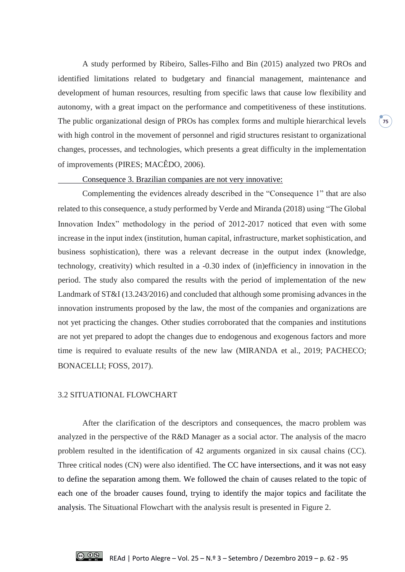A study performed by Ribeiro, Salles-Filho and Bin (2015) analyzed two PROs and identified limitations related to budgetary and financial management, maintenance and development of human resources, resulting from specific laws that cause low flexibility and autonomy, with a great impact on the performance and competitiveness of these institutions. The public organizational design of PROs has complex forms and multiple hierarchical levels with high control in the movement of personnel and rigid structures resistant to organizational changes, processes, and technologies, which presents a great difficulty in the implementation of improvements (PIRES; MACÊDO, 2006).

**75**

#### Consequence 3. Brazilian companies are not very innovative:

Complementing the evidences already described in the "Consequence 1" that are also related to this consequence, a study performed by Verde and Miranda (2018) using "The Global Innovation Index" methodology in the period of 2012-2017 noticed that even with some increase in the input index (institution, human capital, infrastructure, market sophistication, and business sophistication), there was a relevant decrease in the output index (knowledge, technology, creativity) which resulted in a -0.30 index of (in)efficiency in innovation in the period. The study also compared the results with the period of implementation of the new Landmark of ST&I (13.243/2016) and concluded that although some promising advances in the innovation instruments proposed by the law, the most of the companies and organizations are not yet practicing the changes. Other studies corroborated that the companies and institutions are not yet prepared to adopt the changes due to endogenous and exogenous factors and more time is required to evaluate results of the new law (MIRANDA et al., 2019; PACHECO; BONACELLI; FOSS, 2017).

#### 3.2 SITUATIONAL FLOWCHART

After the clarification of the descriptors and consequences, the macro problem was analyzed in the perspective of the R&D Manager as a social actor. The analysis of the macro problem resulted in the identification of 42 arguments organized in six causal chains (CC). Three critical nodes (CN) were also identified. The CC have intersections, and it was not easy to define the separation among them. We followed the chain of causes related to the topic of each one of the broader causes found, trying to identify the major topics and facilitate the analysis. The Situational Flowchart with the analysis result is presented in Figure 2.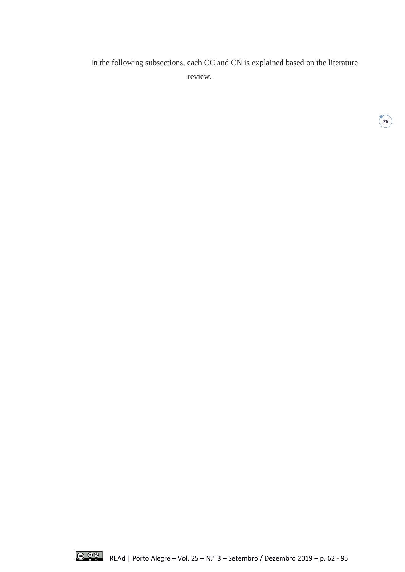In the following subsections, each CC and CN is explained based on the literature review.

**76**

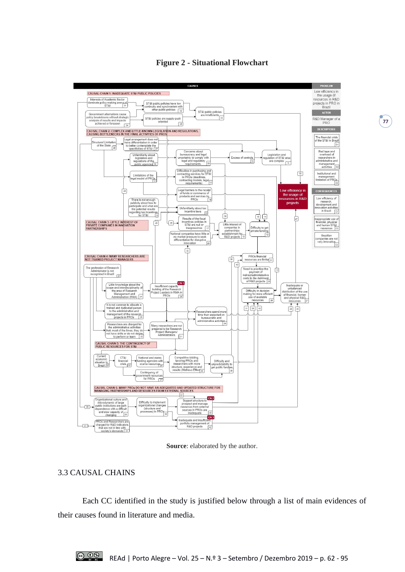

**Figure 2 - Situational Flowchart**

**Source**: elaborated by the author.

### 3.3 CAUSAL CHAINS

Each CC identified in the study is justified below through a list of main evidences of their causes found in literature and media.

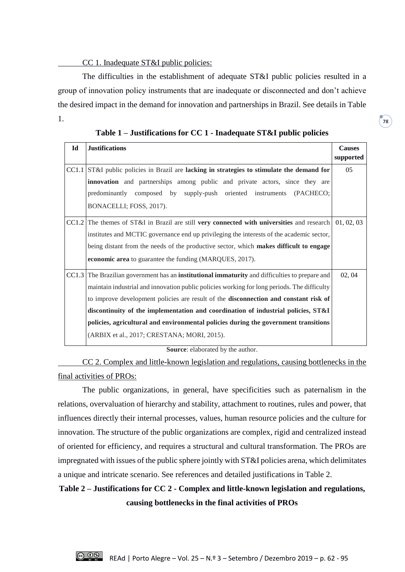### CC 1. Inadequate ST&I public policies:

The difficulties in the establishment of adequate ST&I public policies resulted in a group of innovation policy instruments that are inadequate or disconnected and don't achieve the desired impact in the demand for innovation and partnerships in Brazil. See details in Table 1.

**Table 1 – Justifications for CC 1 - Inadequate ST&I public policies**

**78**

| Id | <b>Justifications</b>                                                                                         | <b>Causes</b><br>supported |
|----|---------------------------------------------------------------------------------------------------------------|----------------------------|
|    | CC1.1 ST&I public policies in Brazil are lacking in strategies to stimulate the demand for                    | 05                         |
|    | innovation and partnerships among public and private actors, since they are                                   |                            |
|    | predominantly composed by supply-push oriented instruments<br>(PACHECO;                                       |                            |
|    | BONACELLI; FOSS, 2017).                                                                                       |                            |
|    | CC1.2 The themes of ST&I in Brazil are still very connected with universities and research $\vert$ 01, 02, 03 |                            |
|    | institutes and MCTIC governance end up privileging the interests of the academic sector,                      |                            |
|    | being distant from the needs of the productive sector, which makes difficult to engage                        |                            |
|    | economic area to guarantee the funding (MARQUES, 2017).                                                       |                            |
|    | CC1.3 The Brazilian government has an <b>institutional immaturity</b> and difficulties to prepare and         | 02, 04                     |
|    | maintain industrial and innovation public policies working for long periods. The difficulty                   |                            |
|    | to improve development policies are result of the disconnection and constant risk of                          |                            |
|    | discontinuity of the implementation and coordination of industrial policies, ST&I                             |                            |
|    | policies, agricultural and environmental policies during the government transitions                           |                            |
|    | (ARBIX et al., 2017; CRESTANA; MORI, 2015).                                                                   |                            |

**Source**: elaborated by the author.

CC 2. Complex and little-known legislation and regulations, causing bottlenecks in the final activities of PROs:

The public organizations, in general, have specificities such as paternalism in the relations, overvaluation of hierarchy and stability, attachment to routines, rules and power, that influences directly their internal processes, values, human resource policies and the culture for innovation. The structure of the public organizations are complex, rigid and centralized instead of oriented for efficiency, and requires a structural and cultural transformation. The PROs are impregnated with issues of the public sphere jointly with ST&I policies arena, which delimitates a unique and intricate scenario. See references and detailed justifications in Table 2.

# **Table 2 – Justifications for CC 2 - Complex and little-known legislation and regulations, causing bottlenecks in the final activities of PROs**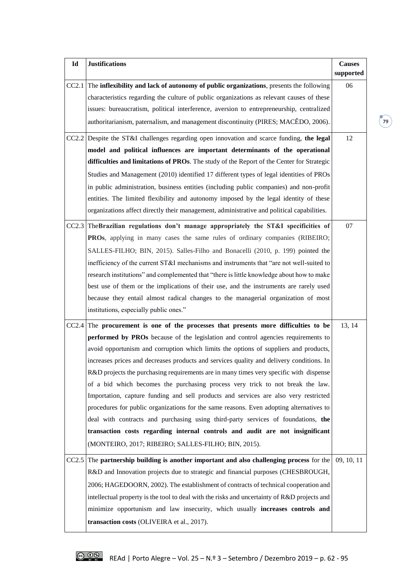| Id    | <b>Justifications</b>                                                                                                                                                                                                                                                                                                                                                         | <b>Causes</b><br>supported |
|-------|-------------------------------------------------------------------------------------------------------------------------------------------------------------------------------------------------------------------------------------------------------------------------------------------------------------------------------------------------------------------------------|----------------------------|
|       | $CC2.1$ The inflexibility and lack of autonomy of public organizations, presents the following<br>characteristics regarding the culture of public organizations as relevant causes of these<br>issues: bureaucratism, political interference, aversion to entrepreneurship, centralized<br>authoritarianism, paternalism, and management discontinuity (PIRES; MACÊDO, 2006). | 06                         |
|       | $CC2.2$ Despite the ST&I challenges regarding open innovation and scarce funding, the legal<br>model and political influences are important determinants of the operational                                                                                                                                                                                                   | 12                         |
|       | difficulties and limitations of PROs. The study of the Report of the Center for Strategic                                                                                                                                                                                                                                                                                     |                            |
|       | Studies and Management (2010) identified 17 different types of legal identities of PROs                                                                                                                                                                                                                                                                                       |                            |
|       | in public administration, business entities (including public companies) and non-profit<br>entities. The limited flexibility and autonomy imposed by the legal identity of these<br>organizations affect directly their management, administrative and political capabilities.                                                                                                |                            |
|       | CC2.3 The Brazilian regulations don't manage appropriately the ST&I specificities of                                                                                                                                                                                                                                                                                          | 07                         |
|       | <b>PROs</b> , applying in many cases the same rules of ordinary companies (RIBEIRO;                                                                                                                                                                                                                                                                                           |                            |
|       | SALLES-FILHO; BIN, 2015). Salles-Filho and Bonacelli (2010, p. 199) pointed the                                                                                                                                                                                                                                                                                               |                            |
|       | inefficiency of the current ST&I mechanisms and instruments that "are not well-suited to                                                                                                                                                                                                                                                                                      |                            |
|       | research institutions" and complemented that "there is little knowledge about how to make                                                                                                                                                                                                                                                                                     |                            |
|       | best use of them or the implications of their use, and the instruments are rarely used                                                                                                                                                                                                                                                                                        |                            |
|       | because they entail almost radical changes to the managerial organization of most                                                                                                                                                                                                                                                                                             |                            |
|       | institutions, especially public ones."                                                                                                                                                                                                                                                                                                                                        |                            |
| CC2.4 | The procurement is one of the processes that presents more difficulties to be                                                                                                                                                                                                                                                                                                 | 13, 14                     |
|       | performed by PROs because of the legislation and control agencies requirements to                                                                                                                                                                                                                                                                                             |                            |
|       | avoid opportunism and corruption which limits the options of suppliers and products,                                                                                                                                                                                                                                                                                          |                            |
|       | increases prices and decreases products and services quality and delivery conditions. In                                                                                                                                                                                                                                                                                      |                            |
|       | R&D projects the purchasing requirements are in many times very specific with dispense                                                                                                                                                                                                                                                                                        |                            |
|       | of a bid which becomes the purchasing process very trick to not break the law.                                                                                                                                                                                                                                                                                                |                            |
|       | Importation, capture funding and sell products and services are also very restricted                                                                                                                                                                                                                                                                                          |                            |
|       | procedures for public organizations for the same reasons. Even adopting alternatives to                                                                                                                                                                                                                                                                                       |                            |
|       | deal with contracts and purchasing using third-party services of foundations, the                                                                                                                                                                                                                                                                                             |                            |
|       | transaction costs regarding internal controls and audit are not insignificant                                                                                                                                                                                                                                                                                                 |                            |
|       | (MONTEIRO, 2017; RIBEIRO; SALLES-FILHO; BIN, 2015).                                                                                                                                                                                                                                                                                                                           |                            |
| CC2.5 | The partnership building is another important and also challenging process for the                                                                                                                                                                                                                                                                                            | 09, 10, 11                 |
|       | R&D and Innovation projects due to strategic and financial purposes (CHESBROUGH,                                                                                                                                                                                                                                                                                              |                            |
|       | 2006; HAGEDOORN, 2002). The establishment of contracts of technical cooperation and                                                                                                                                                                                                                                                                                           |                            |
|       | intellectual property is the tool to deal with the risks and uncertainty of R&D projects and                                                                                                                                                                                                                                                                                  |                            |
|       | minimize opportunism and law insecurity, which usually increases controls and                                                                                                                                                                                                                                                                                                 |                            |
|       | transaction costs (OLIVEIRA et al., 2017).                                                                                                                                                                                                                                                                                                                                    |                            |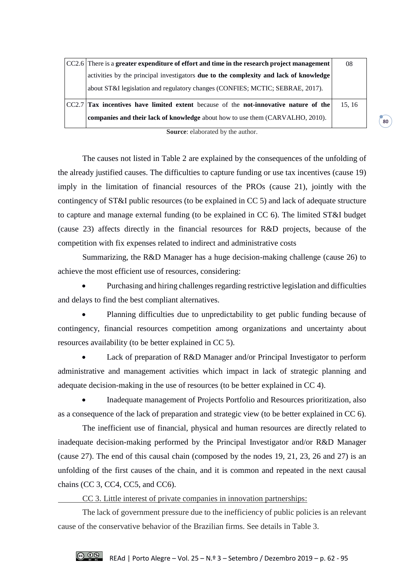| $ CC2.6 $ There is a greater expenditure of effort and time in the research project management | 08    |
|------------------------------------------------------------------------------------------------|-------|
| activities by the principal investigators <b>due to the complexity and lack of knowledge</b>   |       |
| about ST&I legislation and regulatory changes (CONFIES; MCTIC; SEBRAE, 2017).                  |       |
| CC2.7 Tax incentives have limited extent because of the not-innovative nature of the           | 15.16 |
| <b>companies and their lack of knowledge</b> about how to use them (CARVALHO, 2010).           |       |

**Source**: elaborated by the author.

**80**

The causes not listed in Table 2 are explained by the consequences of the unfolding of the already justified causes. The difficulties to capture funding or use tax incentives (cause 19) imply in the limitation of financial resources of the PROs (cause 21), jointly with the contingency of ST&I public resources (to be explained in CC 5) and lack of adequate structure to capture and manage external funding (to be explained in CC 6). The limited ST&I budget (cause 23) affects directly in the financial resources for R&D projects, because of the competition with fix expenses related to indirect and administrative costs

Summarizing, the R&D Manager has a huge decision-making challenge (cause 26) to achieve the most efficient use of resources, considering:

 Purchasing and hiring challenges regarding restrictive legislation and difficulties and delays to find the best compliant alternatives.

 Planning difficulties due to unpredictability to get public funding because of contingency, financial resources competition among organizations and uncertainty about resources availability (to be better explained in CC 5).

 Lack of preparation of R&D Manager and/or Principal Investigator to perform administrative and management activities which impact in lack of strategic planning and adequate decision-making in the use of resources (to be better explained in CC 4).

 Inadequate management of Projects Portfolio and Resources prioritization, also as a consequence of the lack of preparation and strategic view (to be better explained in CC 6).

The inefficient use of financial, physical and human resources are directly related to inadequate decision-making performed by the Principal Investigator and/or R&D Manager (cause 27). The end of this causal chain (composed by the nodes 19, 21, 23, 26 and 27) is an unfolding of the first causes of the chain, and it is common and repeated in the next causal chains (CC 3, CC4, CC5, and CC6).

CC 3. Little interest of private companies in innovation partnerships:

The lack of government pressure due to the inefficiency of public policies is an relevant cause of the conservative behavior of the Brazilian firms. See details in Table 3.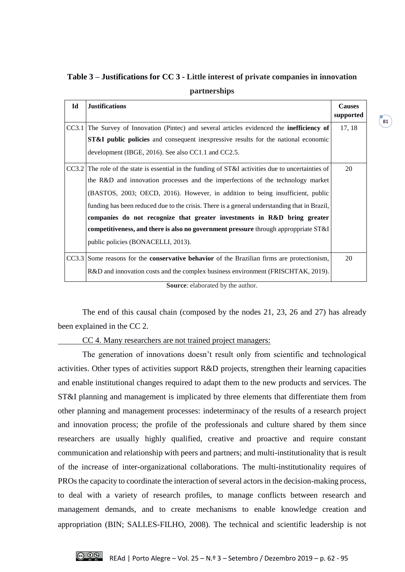| Id | <b>Justifications</b>                                                                                | <b>Causes</b><br>supported |
|----|------------------------------------------------------------------------------------------------------|----------------------------|
|    | CC3.1 The Survey of Innovation (Pintec) and several articles evidenced the <b>inefficiency of</b>    | 17, 18                     |
|    | <b>ST&amp;I</b> public policies and consequent inexpressive results for the national economic        |                            |
|    | development (IBGE, 2016). See also CC1.1 and CC2.5.                                                  |                            |
|    | $CC3.2$ The role of the state is essential in the funding of ST&I activities due to uncertainties of | 20                         |
|    | the R&D and innovation processes and the imperfections of the technology market                      |                            |
|    | (BASTOS, 2003; OECD, 2016). However, in addition to being insufficient, public                       |                            |
|    | funding has been reduced due to the crisis. There is a general understanding that in Brazil,         |                            |
|    | companies do not recognize that greater investments in R&D bring greater                             |                            |
|    | competitiveness, and there is also no government pressure through approppriate ST&I                  |                            |
|    | public policies (BONACELLI, 2013).                                                                   |                            |
|    | $CC3.3$ Some reasons for the <b>conservative behavior</b> of the Brazilian firms are protectionism,  | 20                         |
|    | R&D and innovation costs and the complex business environment (FRISCHTAK, 2019).                     |                            |

**Table 3 – Justifications for CC 3 - Little interest of private companies in innovation partnerships**

**Source**: elaborated by the author.

The end of this causal chain (composed by the nodes 21, 23, 26 and 27) has already been explained in the CC 2.

CC 4. Many researchers are not trained project managers:

The generation of innovations doesn't result only from scientific and technological activities. Other types of activities support R&D projects, strengthen their learning capacities and enable institutional changes required to adapt them to the new products and services. The ST&I planning and management is implicated by three elements that differentiate them from other planning and management processes: indeterminacy of the results of a research project and innovation process; the profile of the professionals and culture shared by them since researchers are usually highly qualified, creative and proactive and require constant communication and relationship with peers and partners; and multi-institutionality that is result of the increase of inter-organizational collaborations. The multi-institutionality requires of PROs the capacity to coordinate the interaction of several actors in the decision-making process, to deal with a variety of research profiles, to manage conflicts between research and management demands, and to create mechanisms to enable knowledge creation and appropriation (BIN; SALLES-FILHO, 2008). The technical and scientific leadership is not

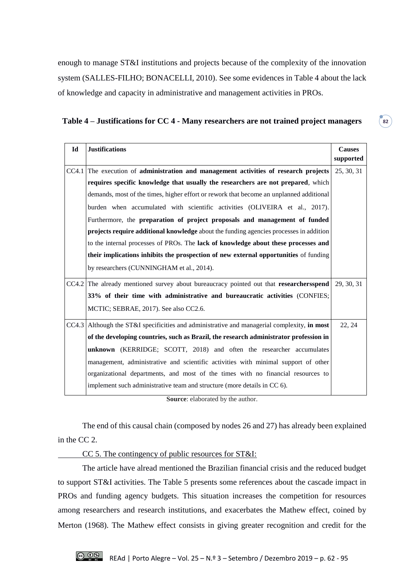enough to manage ST&I institutions and projects because of the complexity of the innovation system (SALLES-FILHO; BONACELLI, 2010). See some evidences in Table 4 about the lack of knowledge and capacity in administrative and management activities in PROs.

|  |  | Table 4 - Justifications for CC 4 - Many researchers are not trained project managers |  |
|--|--|---------------------------------------------------------------------------------------|--|
|  |  |                                                                                       |  |

**82**

| Id    | <b>Justifications</b>                                                                         | <b>Causes</b><br>supported |
|-------|-----------------------------------------------------------------------------------------------|----------------------------|
| CC4.1 | The execution of administration and management activities of research projects                | 25, 30, 31                 |
|       | requires specific knowledge that usually the researchers are not prepared, which              |                            |
|       | demands, most of the times, higher effort or rework that become an unplanned additional       |                            |
|       | burden when accumulated with scientific activities (OLIVEIRA et al., 2017).                   |                            |
|       | Furthermore, the preparation of project proposals and management of funded                    |                            |
|       | projects require additional knowledge about the funding agencies processes in addition        |                            |
|       | to the internal processes of PROs. The lack of knowledge about these processes and            |                            |
|       | their implications inhibits the prospection of new external opportunities of funding          |                            |
|       | by researchers (CUNNINGHAM et al., 2014).                                                     |                            |
|       | CC4.2 The already mentioned survey about bureaucracy pointed out that researchersspend        | 29, 30, 31                 |
|       | 33% of their time with administrative and bureaucratic activities (CONFIES;                   |                            |
|       | MCTIC; SEBRAE, 2017). See also CC2.6.                                                         |                            |
|       | $CC4.3$ Although the ST&I specificities and administrative and managerial complexity, in most | 22, 24                     |
|       | of the developing countries, such as Brazil, the research administrator profession in         |                            |
|       | unknown (KERRIDGE; SCOTT, 2018) and often the researcher accumulates                          |                            |
|       | management, administrative and scientific activities with minimal support of other            |                            |
|       | organizational departments, and most of the times with no financial resources to              |                            |
|       | implement such administrative team and structure (more details in CC 6).                      |                            |

**Source**: elaborated by the author.

The end of this causal chain (composed by nodes 26 and 27) has already been explained in the CC 2.

CC 5. The contingency of public resources for ST&I:

The article have alread mentioned the Brazilian financial crisis and the reduced budget to support ST&I activities. The Table 5 presents some references about the cascade impact in PROs and funding agency budgets. This situation increases the competition for resources among researchers and research institutions, and exacerbates the Mathew effect, coined by Merton (1968). The Mathew effect consists in giving greater recognition and credit for the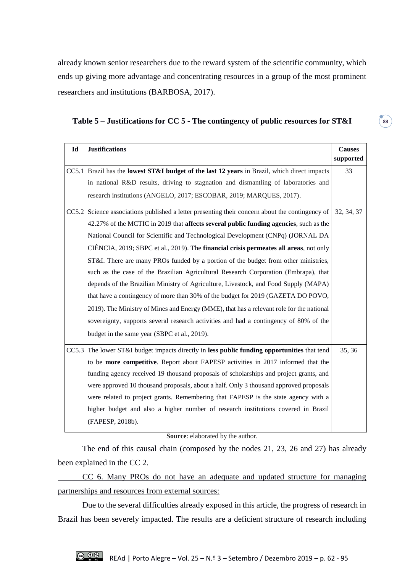already known senior researchers due to the reward system of the scientific community, which ends up giving more advantage and concentrating resources in a group of the most prominent researchers and institutions (BARBOSA, 2017).

| Id | <b>Justifications</b>                                                                                     | <b>Causes</b><br>supported |
|----|-----------------------------------------------------------------------------------------------------------|----------------------------|
|    | $CC5.1$ Brazil has the <b>lowest ST&amp;I budget of the last 12 years</b> in Brazil, which direct impacts | 33                         |
|    | in national R&D results, driving to stagnation and dismantling of laboratories and                        |                            |
|    | research institutions (ANGELO, 2017; ESCOBAR, 2019; MARQUES, 2017).                                       |                            |
|    | CC5.2 Science associations published a letter presenting their concern about the contingency of           | 32, 34, 37                 |
|    | 42.27% of the MCTIC in 2019 that <b>affects several public funding agencies</b> , such as the             |                            |
|    | National Council for Scientific and Technological Development (CNPq) (JORNAL DA                           |                            |
|    | CIÊNCIA, 2019; SBPC et al., 2019). The <b>financial crisis permeates all areas</b> , not only             |                            |
|    | ST&I. There are many PROs funded by a portion of the budget from other ministries,                        |                            |
|    | such as the case of the Brazilian Agricultural Research Corporation (Embrapa), that                       |                            |
|    | depends of the Brazilian Ministry of Agriculture, Livestock, and Food Supply (MAPA)                       |                            |
|    | that have a contingency of more than 30% of the budget for 2019 (GAZETA DO POVO,                          |                            |
|    | 2019). The Ministry of Mines and Energy (MME), that has a relevant role for the national                  |                            |
|    | sovereignty, supports several research activities and had a contingency of 80% of the                     |                            |
|    | budget in the same year (SBPC et al., 2019).                                                              |                            |
|    | CC5.3 The lower ST&I budget impacts directly in less public funding opportunities that tend               | 35, 36                     |
|    | to be more competitive. Report about FAPESP activities in 2017 informed that the                          |                            |
|    | funding agency received 19 thousand proposals of scholarships and project grants, and                     |                            |
|    | were approved 10 thousand proposals, about a half. Only 3 thousand approved proposals                     |                            |
|    | were related to project grants. Remembering that FAPESP is the state agency with a                        |                            |
|    | higher budget and also a higher number of research institutions covered in Brazil                         |                            |
|    | (FAPESP, 2018b).                                                                                          |                            |

**Table 5 – Justifications for CC 5 - The contingency of public resources for ST&I**

**Source**: elaborated by the author.

The end of this causal chain (composed by the nodes 21, 23, 26 and 27) has already been explained in the CC 2.

CC 6. Many PROs do not have an adequate and updated structure for managing partnerships and resources from external sources:

Due to the several difficulties already exposed in this article, the progress of research in Brazil has been severely impacted. The results are a deficient structure of research including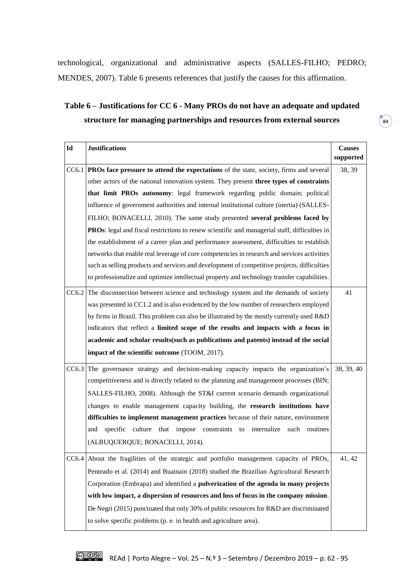technological, organizational and administrative aspects (SALLES-FILHO; PEDRO; MENDES, 2007). Table 6 presents references that justify the causes for this affirmation.

# **Table 6 – Justifications for CC 6 - Many PROs do not have an adequate and updated structure for managing partnerships and resources from external sources**

| $Id$ | <b>Justifications</b>                                                                                | <b>Causes</b> |
|------|------------------------------------------------------------------------------------------------------|---------------|
|      |                                                                                                      | supported     |
|      | CC6.1 PROs face pressure to attend the expectations of the state, society, firms and several         | 38, 39        |
|      | other actors of the national innovation system. They present three types of constraints              |               |
|      | that limit PROs autonomy: legal framework regarding public domain; political                         |               |
|      | influence of government authorities and internal institutional culture (inertia) (SALLES-            |               |
|      | FILHO; BONACELLI, 2010). The same study presented several problems faced by                          |               |
|      | <b>PROs:</b> legal and fiscal restrictions to renew scientific and managerial staff, difficulties in |               |
|      | the establishment of a career plan and performance assessment, difficulties to establish             |               |
|      | networks that enable real leverage of core competencies in research and services activities          |               |
|      | such as selling products and services and development of competitive projects, difficulties          |               |
|      | to professionalize and optimize intellectual property and technology transfer capabilities.          |               |
|      | CC6.2 The disconnection between science and technology system and the demands of society             | 41            |
|      | was presented in CC1.2 and is also evidenced by the low number of researchers employed               |               |
|      | by firms in Brazil. This problem can also be illustrated by the mostly currently used R&D            |               |
|      | indicators that reflect a limited scope of the results and impacts with a focus in                   |               |
|      | academic and scholar results (such as publications and patents) instead of the social                |               |
|      | impact of the scientific outcome (TOOM, 2017).                                                       |               |
|      | CC6.3 The governance strategy and decision-making capacity impacts the organization's                | 38, 39, 40    |
|      | competitiveness and is directly related to the planning and management processes (BIN;               |               |
|      | SALLES-FILHO, 2008). Although the ST&I current scenario demands organizational                       |               |
|      | changes to enable management capacity building, the research institutions have                       |               |
|      | difficulties to implement management practices because of their nature, environment                  |               |
|      | specific culture that impose constraints to internalize such routines<br>and                         |               |
|      | (ALBUQUERQUE; BONACELLI, 2014).                                                                      |               |
|      | CC6.4 About the fragilities of the strategic and portfolio management capacity of PROs,              | 41, 42        |
|      | Penteado et al. (2014) and Buainain (2018) studied the Brazilian Agricultural Research               |               |
|      | Corporation (Embrapa) and identified a <b>pulverization of the agenda in many projects</b>           |               |
|      | with low impact, a dispersion of resources and loss of focus in the company mission.                 |               |
|      | De Negri (2015) punctuated that only 30% of public resources for R&D are discriminated               |               |
|      | to solve specific problems (p. e. in health and agriculture area).                                   |               |
|      |                                                                                                      |               |

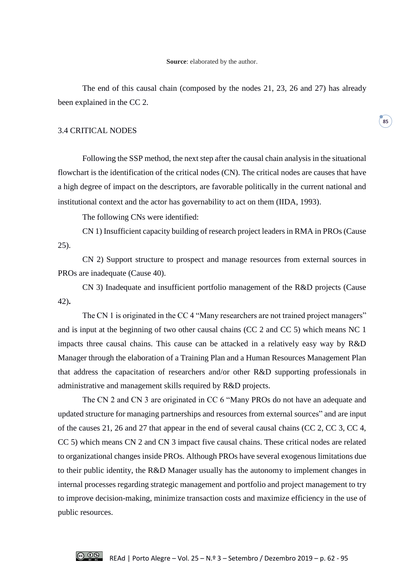The end of this causal chain (composed by the nodes 21, 23, 26 and 27) has already been explained in the CC 2.

#### 3.4 CRITICAL NODES

Following the SSP method, the next step after the causal chain analysis in the situational flowchart is the identification of the critical nodes (CN). The critical nodes are causes that have a high degree of impact on the descriptors, are favorable politically in the current national and institutional context and the actor has governability to act on them (IIDA, 1993).

The following CNs were identified:

CN 1) Insufficient capacity building of research project leaders in RMA in PROs (Cause 25).

CN 2) Support structure to prospect and manage resources from external sources in PROs are inadequate (Cause 40).

CN 3) Inadequate and insufficient portfolio management of the R&D projects (Cause 42)**.**

The CN 1 is originated in the CC 4 "Many researchers are not trained project managers" and is input at the beginning of two other causal chains (CC 2 and CC 5) which means NC 1 impacts three causal chains. This cause can be attacked in a relatively easy way by R&D Manager through the elaboration of a Training Plan and a Human Resources Management Plan that address the capacitation of researchers and/or other R&D supporting professionals in administrative and management skills required by R&D projects.

The CN 2 and CN 3 are originated in CC 6 "Many PROs do not have an adequate and updated structure for managing partnerships and resources from external sources" and are input of the causes 21, 26 and 27 that appear in the end of several causal chains (CC 2, CC 3, CC 4, CC 5) which means CN 2 and CN 3 impact five causal chains. These critical nodes are related to organizational changes inside PROs. Although PROs have several exogenous limitations due to their public identity, the R&D Manager usually has the autonomy to implement changes in internal processes regarding strategic management and portfolio and project management to try to improve decision-making, minimize transaction costs and maximize efficiency in the use of public resources.

**85**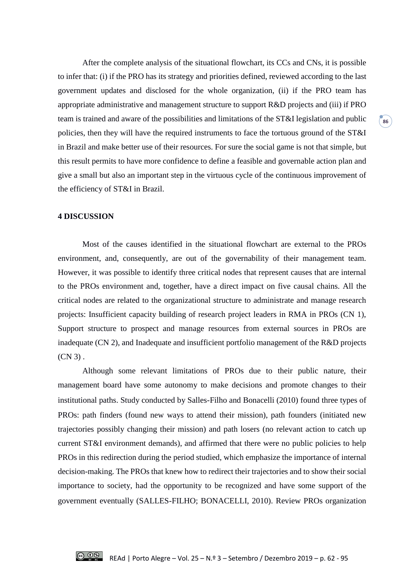After the complete analysis of the situational flowchart, its CCs and CNs, it is possible to infer that: (i) if the PRO has its strategy and priorities defined, reviewed according to the last government updates and disclosed for the whole organization, (ii) if the PRO team has appropriate administrative and management structure to support R&D projects and (iii) if PRO team is trained and aware of the possibilities and limitations of the ST&I legislation and public policies, then they will have the required instruments to face the tortuous ground of the ST&I in Brazil and make better use of their resources. For sure the social game is not that simple, but this result permits to have more confidence to define a feasible and governable action plan and give a small but also an important step in the virtuous cycle of the continuous improvement of the efficiency of ST&I in Brazil.

#### **4 DISCUSSION**

Most of the causes identified in the situational flowchart are external to the PROs environment, and, consequently, are out of the governability of their management team. However, it was possible to identify three critical nodes that represent causes that are internal to the PROs environment and, together, have a direct impact on five causal chains. All the critical nodes are related to the organizational structure to administrate and manage research projects: Insufficient capacity building of research project leaders in RMA in PROs (CN 1), Support structure to prospect and manage resources from external sources in PROs are inadequate (CN 2), and Inadequate and insufficient portfolio management of the R&D projects  $(CN 3)$ .

Although some relevant limitations of PROs due to their public nature, their management board have some autonomy to make decisions and promote changes to their institutional paths. Study conducted by Salles-Filho and Bonacelli (2010) found three types of PROs: path finders (found new ways to attend their mission), path founders (initiated new trajectories possibly changing their mission) and path losers (no relevant action to catch up current ST&I environment demands), and affirmed that there were no public policies to help PROs in this redirection during the period studied, which emphasize the importance of internal decision-making. The PROs that knew how to redirect their trajectories and to show their social importance to society, had the opportunity to be recognized and have some support of the government eventually (SALLES-FILHO; BONACELLI, 2010). Review PROs organization

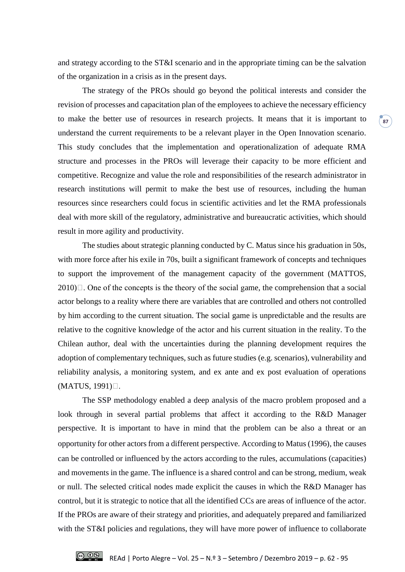and strategy according to the ST&I scenario and in the appropriate timing can be the salvation of the organization in a crisis as in the present days.

The strategy of the PROs should go beyond the political interests and consider the revision of processes and capacitation plan of the employees to achieve the necessary efficiency to make the better use of resources in research projects. It means that it is important to understand the current requirements to be a relevant player in the Open Innovation scenario. This study concludes that the implementation and operationalization of adequate RMA structure and processes in the PROs will leverage their capacity to be more efficient and competitive. Recognize and value the role and responsibilities of the research administrator in research institutions will permit to make the best use of resources, including the human resources since researchers could focus in scientific activities and let the RMA professionals deal with more skill of the regulatory, administrative and bureaucratic activities, which should result in more agility and productivity.

The studies about strategic planning conducted by C. Matus since his graduation in 50s, with more force after his exile in 70s, built a significant framework of concepts and techniques to support the improvement of the management capacity of the government (MATTOS,  $2010$ . One of the concepts is the theory of the social game, the comprehension that a social actor belongs to a reality where there are variables that are controlled and others not controlled by him according to the current situation. The social game is unpredictable and the results are relative to the cognitive knowledge of the actor and his current situation in the reality. To the Chilean author, deal with the uncertainties during the planning development requires the adoption of complementary techniques, such as future studies (e.g. scenarios), vulnerability and reliability analysis, a monitoring system, and ex ante and ex post evaluation of operations  $(MATUS, 1991)$ .

The SSP methodology enabled a deep analysis of the macro problem proposed and a look through in several partial problems that affect it according to the R&D Manager perspective. It is important to have in mind that the problem can be also a threat or an opportunity for other actors from a different perspective. According to Matus (1996), the causes can be controlled or influenced by the actors according to the rules, accumulations (capacities) and movements in the game. The influence is a shared control and can be strong, medium, weak or null. The selected critical nodes made explicit the causes in which the R&D Manager has control, but it is strategic to notice that all the identified CCs are areas of influence of the actor. If the PROs are aware of their strategy and priorities, and adequately prepared and familiarized with the ST&I policies and regulations, they will have more power of influence to collaborate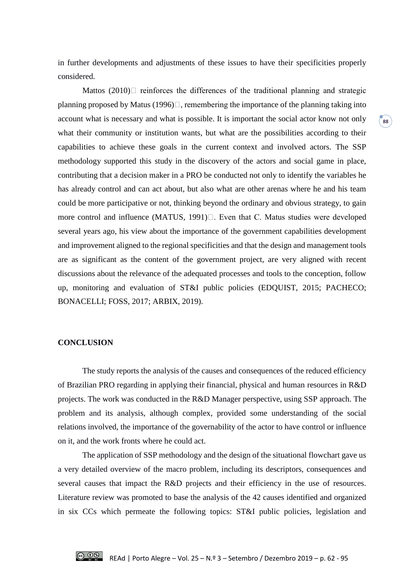in further developments and adjustments of these issues to have their specificities properly considered.

Mattos  $(2010)$  reinforces the differences of the traditional planning and strategic planning proposed by Matus (1996) $\Box$ , remembering the importance of the planning taking into account what is necessary and what is possible. It is important the social actor know not only what their community or institution wants, but what are the possibilities according to their capabilities to achieve these goals in the current context and involved actors. The SSP methodology supported this study in the discovery of the actors and social game in place, contributing that a decision maker in a PRO be conducted not only to identify the variables he has already control and can act about, but also what are other arenas where he and his team could be more participative or not, thinking beyond the ordinary and obvious strategy, to gain more control and influence (MATUS,  $1991$ ) $\Box$ . Even that C. Matus studies were developed several years ago, his view about the importance of the government capabilities development and improvement aligned to the regional specificities and that the design and management tools are as significant as the content of the government project, are very aligned with recent discussions about the relevance of the adequated processes and tools to the conception, follow up, monitoring and evaluation of ST&I public policies (EDQUIST, 2015; PACHECO; BONACELLI; FOSS, 2017; ARBIX, 2019).

#### **CONCLUSION**

The study reports the analysis of the causes and consequences of the reduced efficiency of Brazilian PRO regarding in applying their financial, physical and human resources in R&D projects. The work was conducted in the R&D Manager perspective, using SSP approach. The problem and its analysis, although complex, provided some understanding of the social relations involved, the importance of the governability of the actor to have control or influence on it, and the work fronts where he could act.

The application of SSP methodology and the design of the situational flowchart gave us a very detailed overview of the macro problem, including its descriptors, consequences and several causes that impact the R&D projects and their efficiency in the use of resources. Literature review was promoted to base the analysis of the 42 causes identified and organized in six CCs which permeate the following topics: ST&I public policies, legislation and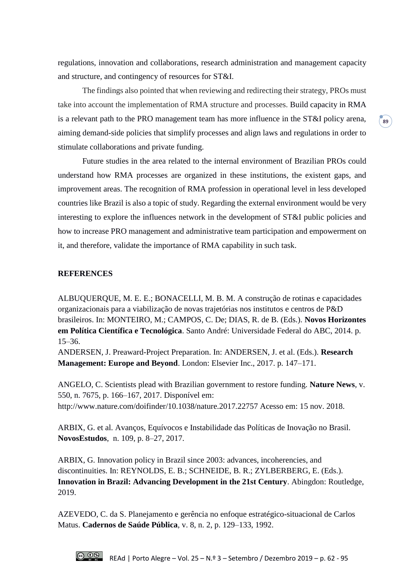regulations, innovation and collaborations, research administration and management capacity and structure, and contingency of resources for ST&I.

The findings also pointed that when reviewing and redirecting their strategy, PROs must take into account the implementation of RMA structure and processes. Build capacity in RMA is a relevant path to the PRO management team has more influence in the ST&I policy arena, aiming demand-side policies that simplify processes and align laws and regulations in order to stimulate collaborations and private funding.

**89** 

Future studies in the area related to the internal environment of Brazilian PROs could understand how RMA processes are organized in these institutions, the existent gaps, and improvement areas. The recognition of RMA profession in operational level in less developed countries like Brazil is also a topic of study. Regarding the external environment would be very interesting to explore the influences network in the development of ST&I public policies and how to increase PRO management and administrative team participation and empowerment on it, and therefore, validate the importance of RMA capability in such task.

#### **REFERENCES**

ALBUQUERQUE, M. E. E.; BONACELLI, M. B. M. A construção de rotinas e capacidades organizacionais para a viabilização de novas trajetórias nos institutos e centros de P&D brasileiros. In: MONTEIRO, M.; CAMPOS, C. De; DIAS, R. de B. (Eds.). **Novos Horizontes em Política Científica e Tecnológica**. Santo André: Universidade Federal do ABC, 2014. p. 15–36.

ANDERSEN, J. Preaward-Project Preparation. In: ANDERSEN, J. et al. (Eds.). **Research Management: Europe and Beyond**. London: Elsevier Inc., 2017. p. 147–171.

ANGELO, C. Scientists plead with Brazilian government to restore funding. **Nature News**, v. 550, n. 7675, p. 166–167, 2017. Disponível em: http://www.nature.com/doifinder/10.1038/nature.2017.22757 Acesso em: 15 nov. 2018.

ARBIX, G. et al. Avanços, Equívocos e Instabilidade das Políticas de Inovação no Brasil. **NovosEstudos**, n. 109, p. 8–27, 2017.

ARBIX, G. Innovation policy in Brazil since 2003: advances, incoherencies, and discontinuities. In: REYNOLDS, E. B.; SCHNEIDE, B. R.; ZYLBERBERG, E. (Eds.). **Innovation in Brazil: Advancing Development in the 21st Century**. Abingdon: Routledge, 2019.

AZEVEDO, C. da S. Planejamento e gerência no enfoque estratégico-situacional de Carlos Matus. **Cadernos de Saúde Pública**, v. 8, n. 2, p. 129–133, 1992.

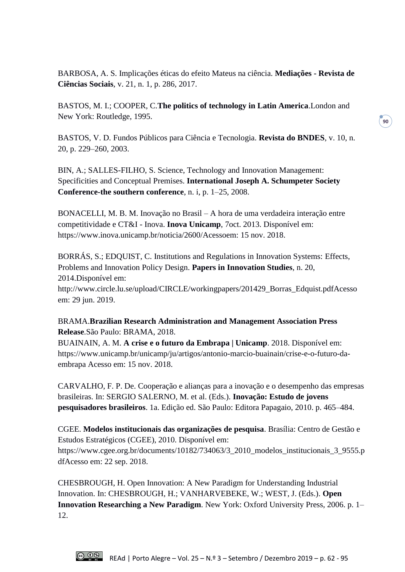BARBOSA, A. S. Implicações éticas do efeito Mateus na ciência. **Mediações - Revista de Ciências Sociais**, v. 21, n. 1, p. 286, 2017.

BASTOS, M. I.; COOPER, C.**The politics of technology in Latin America**.London and New York: Routledge, 1995.

BASTOS, V. D. Fundos Públicos para Ciência e Tecnologia. **Revista do BNDES**, v. 10, n. 20, p. 229–260, 2003.

BIN, A.; SALLES-FILHO, S. Science, Technology and Innovation Management: Specificities and Conceptual Premises. **International Joseph A. Schumpeter Society Conference-the southern conference**, n. i, p. 1–25, 2008.

BONACELLI, M. B. M. Inovação no Brasil – A hora de uma verdadeira interação entre competitividade e CT&I - Inova. **Inova Unicamp**, 7oct. 2013. Disponível em: https://www.inova.unicamp.br/noticia/2600/Acessoem: 15 nov. 2018.

BORRÁS, S.; EDQUIST, C. Institutions and Regulations in Innovation Systems: Effects, Problems and Innovation Policy Design. **Papers in Innovation Studies**, n. 20, 2014.Disponível em:

http://www.circle.lu.se/upload/CIRCLE/workingpapers/201429\_Borras\_Edquist.pdfAcesso em: 29 jun. 2019.

# BRAMA.**Brazilian Research Administration and Management Association Press Release**.São Paulo: BRAMA, 2018.

BUAINAIN, A. M. **A crise e o futuro da Embrapa | Unicamp**. 2018. Disponível em: https://www.unicamp.br/unicamp/ju/artigos/antonio-marcio-buainain/crise-e-o-futuro-daembrapa Acesso em: 15 nov. 2018.

CARVALHO, F. P. De. Cooperação e alianças para a inovação e o desempenho das empresas brasileiras. In: SERGIO SALERNO, M. et al. (Eds.). **Inovação: Estudo de jovens pesquisadores brasileiros**. 1a. Edição ed. São Paulo: Editora Papagaio, 2010. p. 465–484.

CGEE. **Modelos institucionais das organizações de pesquisa**. Brasília: Centro de Gestão e Estudos Estratégicos (CGEE), 2010. Disponível em: https://www.cgee.org.br/documents/10182/734063/3\_2010\_modelos\_institucionais\_3\_9555.p dfAcesso em: 22 sep. 2018.

CHESBROUGH, H. Open Innovation: A New Paradigm for Understanding Industrial Innovation. In: CHESBROUGH, H.; VANHARVEBEKE, W.; WEST, J. (Eds.). **Open Innovation Researching a New Paradigm**. New York: Oxford University Press, 2006. p. 1– 12.

**90**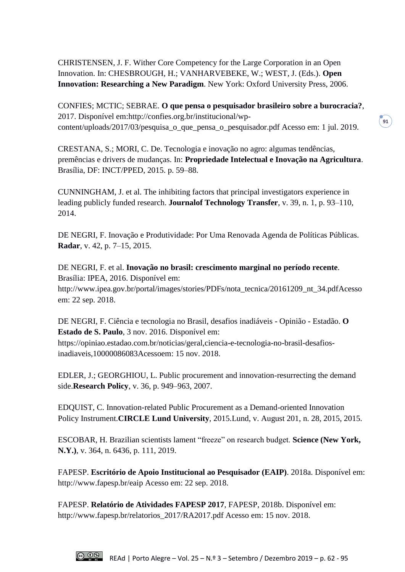CHRISTENSEN, J. F. Wither Core Competency for the Large Corporation in an Open Innovation. In: CHESBROUGH, H.; VANHARVEBEKE, W.; WEST, J. (Eds.). **Open Innovation: Researching a New Paradigm**. New York: Oxford University Press, 2006.

CONFIES; MCTIC; SEBRAE. **O que pensa o pesquisador brasileiro sobre a burocracia?**, 2017. Disponível em:http://confies.org.br/institucional/wpcontent/uploads/2017/03/pesquisa\_o\_que\_pensa\_o\_pesquisador.pdf Acesso em: 1 jul. 2019.

CRESTANA, S.; MORI, C. De. Tecnologia e inovação no agro: algumas tendências, premências e drivers de mudanças. In: **Propriedade Intelectual e Inovação na Agricultura**. Brasília, DF: INCT/PPED, 2015. p. 59–88.

CUNNINGHAM, J. et al. The inhibiting factors that principal investigators experience in leading publicly funded research. **Journalof Technology Transfer**, v. 39, n. 1, p. 93–110, 2014.

DE NEGRI, F. Inovação e Produtividade: Por Uma Renovada Agenda de Políticas Públicas. **Radar**, v. 42, p. 7–15, 2015.

DE NEGRI, F. et al. **Inovação no brasil: crescimento marginal no período recente**. Brasília: IPEA, 2016. Disponível em:

http://www.ipea.gov.br/portal/images/stories/PDFs/nota\_tecnica/20161209\_nt\_34.pdfAcesso em: 22 sep. 2018.

DE NEGRI, F. Ciência e tecnologia no Brasil, desafios inadiáveis - Opinião - Estadão. **O Estado de S. Paulo**, 3 nov. 2016. Disponível em: https://opiniao.estadao.com.br/noticias/geral,ciencia-e-tecnologia-no-brasil-desafiosinadiaveis,10000086083Acessoem: 15 nov. 2018.

EDLER, J.; GEORGHIOU, L. Public procurement and innovation-resurrecting the demand side.**Research Policy**, v. 36, p. 949–963, 2007.

EDQUIST, C. Innovation-related Public Procurement as a Demand-oriented Innovation Policy Instrument.**CIRCLE Lund University**, 2015.Lund, v. August 201, n. 28, 2015, 2015.

ESCOBAR, H. Brazilian scientists lament "freeze" on research budget. **Science (New York, N.Y.)**, v. 364, n. 6436, p. 111, 2019.

FAPESP. **Escritório de Apoio Institucional ao Pesquisador (EAIP)**. 2018a. Disponível em: http://www.fapesp.br/eaip Acesso em: 22 sep. 2018.

FAPESP. **Relatório de Atividades FAPESP 2017**, FAPESP, 2018b. Disponível em: http://www.fapesp.br/relatorios\_2017/RA2017.pdf Acesso em: 15 nov. 2018.

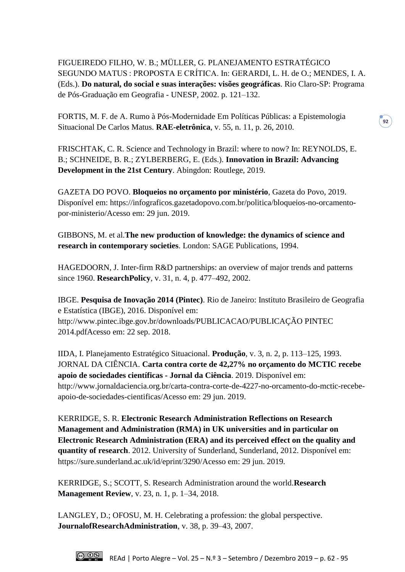FIGUEIREDO FILHO, W. B.; MÜLLER, G. PLANEJAMENTO ESTRATÉGICO SEGUNDO MATUS : PROPOSTA E CRÍTICA. In: GERARDI, L. H. de O.; MENDES, I. A. (Eds.). **Do natural, do social e suas interações: visões geográficas**. Rio Claro-SP: Programa de Pós-Graduação em Geografia - UNESP, 2002. p. 121–132.

**92**

FORTIS, M. F. de A. Rumo à Pós-Modernidade Em Políticas Públicas: a Epistemologia Situacional De Carlos Matus. **RAE-eletrônica**, v. 55, n. 11, p. 26, 2010.

FRISCHTAK, C. R. Science and Technology in Brazil: where to now? In: REYNOLDS, E. B.; SCHNEIDE, B. R.; ZYLBERBERG, E. (Eds.). **Innovation in Brazil: Advancing Development in the 21st Century**. Abingdon: Routlege, 2019.

GAZETA DO POVO. **Bloqueios no orçamento por ministério**, Gazeta do Povo, 2019. Disponível em: https://infograficos.gazetadopovo.com.br/politica/bloqueios-no-orcamentopor-ministerio/Acesso em: 29 jun. 2019.

GIBBONS, M. et al.**The new production of knowledge: the dynamics of science and research in contemporary societies**. London: SAGE Publications, 1994.

HAGEDOORN, J. Inter-firm R&D partnerships: an overview of major trends and patterns since 1960. **ResearchPolicy**, v. 31, n. 4, p. 477–492, 2002.

IBGE. **Pesquisa de Inovação 2014 (Pintec)**. Rio de Janeiro: Instituto Brasileiro de Geografia e Estatística (IBGE), 2016. Disponível em: http://www.pintec.ibge.gov.br/downloads/PUBLICACAO/PUBLICAÇÃO PINTEC 2014.pdfAcesso em: 22 sep. 2018.

IIDA, I. Planejamento Estratégico Situacional. **Produção**, v. 3, n. 2, p. 113–125, 1993. JORNAL DA CIÊNCIA. **Carta contra corte de 42,27% no orçamento do MCTIC recebe apoio de sociedades científicas - Jornal da Ciência**. 2019. Disponível em: http://www.jornaldaciencia.org.br/carta-contra-corte-de-4227-no-orcamento-do-mctic-recebeapoio-de-sociedades-cientificas/Acesso em: 29 jun. 2019.

KERRIDGE, S. R. **Electronic Research Administration Reflections on Research Management and Administration (RMA) in UK universities and in particular on Electronic Research Administration (ERA) and its perceived effect on the quality and quantity of research**. 2012. University of Sunderland, Sunderland, 2012. Disponível em: https://sure.sunderland.ac.uk/id/eprint/3290/Acesso em: 29 jun. 2019.

KERRIDGE, S.; SCOTT, S. Research Administration around the world.**Research Management Review**, v. 23, n. 1, p. 1–34, 2018.

LANGLEY, D.; OFOSU, M. H. Celebrating a profession: the global perspective. **JournalofResearchAdministration**, v. 38, p. 39–43, 2007.

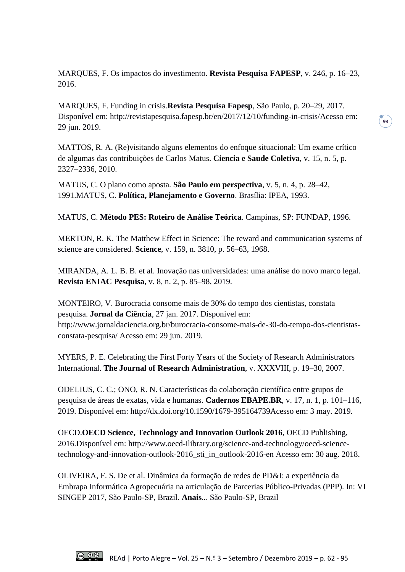MARQUES, F. Os impactos do investimento. **Revista Pesquisa FAPESP**, v. 246, p. 16–23, 2016.

MARQUES, F. Funding in crisis.**Revista Pesquisa Fapesp**, São Paulo, p. 20–29, 2017. Disponível em: http://revistapesquisa.fapesp.br/en/2017/12/10/funding-in-crisis/Acesso em: 29 jun. 2019.

**93**

MATTOS, R. A. (Re)visitando alguns elementos do enfoque situacional: Um exame crítico de algumas das contribuições de Carlos Matus. **Ciencia e Saude Coletiva**, v. 15, n. 5, p. 2327–2336, 2010.

MATUS, C. O plano como aposta. **São Paulo em perspectiva**, v. 5, n. 4, p. 28–42, 1991.MATUS, C. **Política, Planejamento e Governo**. Brasília: IPEA, 1993.

MATUS, C. **Método PES: Roteiro de Análise Teórica**. Campinas, SP: FUNDAP, 1996.

MERTON, R. K. The Matthew Effect in Science: The reward and communication systems of science are considered. **Science**, v. 159, n. 3810, p. 56–63, 1968.

MIRANDA, A. L. B. B. et al. Inovação nas universidades: uma análise do novo marco legal. **Revista ENIAC Pesquisa**, v. 8, n. 2, p. 85–98, 2019.

MONTEIRO, V. Burocracia consome mais de 30% do tempo dos cientistas, constata pesquisa. **Jornal da Ciência**, 27 jan. 2017. Disponível em: http://www.jornaldaciencia.org.br/burocracia-consome-mais-de-30-do-tempo-dos-cientistasconstata-pesquisa/ Acesso em: 29 jun. 2019.

MYERS, P. E. Celebrating the First Forty Years of the Society of Research Administrators International. **The Journal of Research Administration**, v. XXXVIII, p. 19–30, 2007.

ODELIUS, C. C.; ONO, R. N. Características da colaboração científica entre grupos de pesquisa de áreas de exatas, vida e humanas. **Cadernos EBAPE.BR**, v. 17, n. 1, p. 101–116, 2019. Disponível em: http://dx.doi.org/10.1590/1679-395164739Acesso em: 3 may. 2019.

OECD.**OECD Science, Technology and Innovation Outlook 2016**, OECD Publishing, 2016.Disponível em: http://www.oecd-ilibrary.org/science-and-technology/oecd-sciencetechnology-and-innovation-outlook-2016\_sti\_in\_outlook-2016-en Acesso em: 30 aug. 2018.

OLIVEIRA, F. S. De et al. Dinâmica da formação de redes de PD&I: a experiência da Embrapa Informática Agropecuária na articulação de Parcerias Público-Privadas (PPP). In: VI SINGEP 2017, São Paulo-SP, Brazil. **Anais**... São Paulo-SP, Brazil

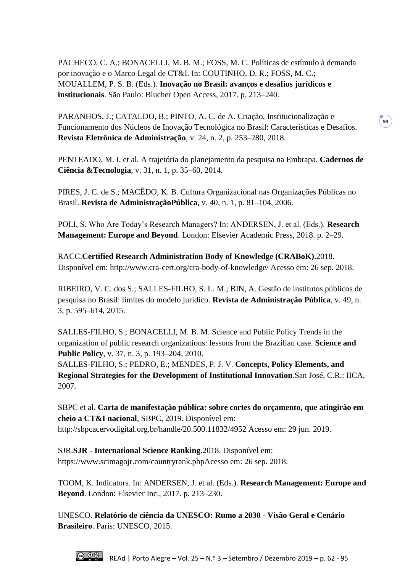PACHECO, C. A.; BONACELLI, M. B. M.; FOSS, M. C. Políticas de estímulo à demanda por inovação e o Marco Legal de CT&I. In: COUTINHO, D. R.; FOSS, M. C.; MOUALLEM, P. S. B. (Eds.). **Inovação no Brasil: avanços e desafios jurídicos e institucionais**. São Paulo: Blucher Open Access, 2017. p. 213–240.

PARANHOS, J.; CATALDO, B.; PINTO, A. C. de A. Criação, Institucionalização e Funcionamento dos Núcleos de Inovação Tecnológica no Brasil: Características e Desafios. **Revista Eletrônica de Administração**, v. 24, n. 2, p. 253–280, 2018.

**94**

PENTEADO, M. I. et al. A trajetória do planejamento da pesquisa na Embrapa. **Cadernos de Ciência &Tecnologia**, v. 31, n. 1, p. 35–60, 2014.

PIRES, J. C. de S.; MACÊDO, K. B. Cultura Organizacional nas Organizações Públicas no Brasil. **Revista de AdministraçãoPública**, v. 40, n. 1, p. 81–104, 2006.

POLI, S. Who Are Today's Research Managers? In: ANDERSEN, J. et al. (Eds.). **Research Management: Europe and Beyond**. London: Elsevier Academic Press, 2018. p. 2–29.

RACC.**Certified Research Administration Body of Knowledge (CRABoK)**.2018. Disponível em: http://www.cra-cert.org/cra-body-of-knowledge/ Acesso em: 26 sep. 2018.

RIBEIRO, V. C. dos S.; SALLES-FILHO, S. L. M.; BIN, A. Gestão de institutos públicos de pesquisa no Brasil: limites do modelo jurídico. **Revista de Administração Pública**, v. 49, n. 3, p. 595–614, 2015.

SALLES-FILHO, S.; BONACELLI, M. B. M. Science and Public Policy Trends in the organization of public research organizations: lessons from the Brazilian case. **Science and Public Policy**, v. 37, n. 3, p. 193–204, 2010.

SALLES-FILHO, S.; PEDRO, E.; MENDES, P. J. V. **Concepts, Policy Elements, and Regional Strategies for the Development of Institutional Innovation**.San José, C.R.: IICA, 2007.

SBPC et al. **Carta de manifestação pública: sobre cortes do orçamento, que atingirão em cheio a CT&I nacional**, SBPC, 2019. Disponível em: http://sbpcacervodigital.org.br/handle/20.500.11832/4952 Acesso em: 29 jun. 2019.

SJR.**SJR - International Science Ranking**.2018. Disponível em: https://www.scimagojr.com/countryrank.phpAcesso em: 26 sep. 2018.

TOOM, K. Indicators. In: ANDERSEN, J. et al. (Eds.). **Research Management: Europe and Beyond**. London: Elsevier Inc., 2017. p. 213–230.

UNESCO. **Relatório de ciência da UNESCO: Rumo a 2030 - Visão Geral e Cenário Brasileiro**. Paris: UNESCO, 2015.